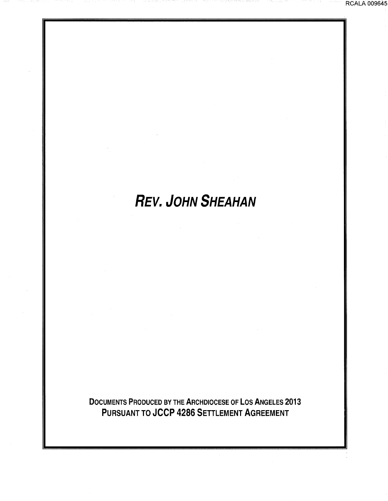# **REV. JOHN SHEAHAN**

DOCUMENTS PRODUCED BY THE ARCHDIOCESE OF LOS ANGELES 2013 PURSUANT TO JCCP 4286 SETTLEMENT AGREEMENT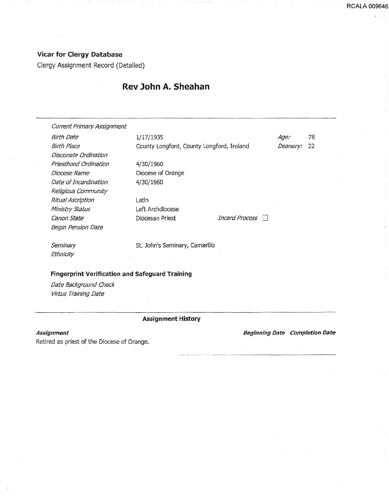### Vicar for Clergy Database

Clergy Assignment Record (Detailed)

# Rev John A. Sheahan

| <b>Current Primary Assignment</b> |                                           |                        |          |     |
|-----------------------------------|-------------------------------------------|------------------------|----------|-----|
| <b>Birth Date</b>                 | 1/17/1935                                 |                        | Age:     | 78  |
| Birth Place                       | County Longford, County Longford, Ireland |                        | Deanery: | -22 |
| Diaconate Ordination              |                                           |                        |          |     |
| Priesthood Ordination             | 4/30/1960                                 |                        |          |     |
| Diocese Name                      | Diocese of Orange                         |                        |          |     |
| Date of Incardination             | 4/30/1960                                 |                        |          |     |
| Religious Community               |                                           |                        |          |     |
| Ritual Ascription                 | Latin                                     |                        |          |     |
| Ministry Status                   | Left Archdiocese                          |                        |          |     |
| Canon State                       | Diocesan Priest                           | Incard Process<br>-311 |          |     |
| Begin Pension Date                |                                           |                        |          |     |
| Seminary                          | St. John's Seminary, Camarillo            |                        |          |     |
| Ethnicity                         |                                           |                        |          |     |
|                                   |                                           |                        |          |     |

#### Fingerprint Verification and Safeguard Training

Date Background Check Virtus Training Date

#### ASsignment History

#### Assignment

Retired as priest of the Diocese of Orange.

Beginning Date Completion Date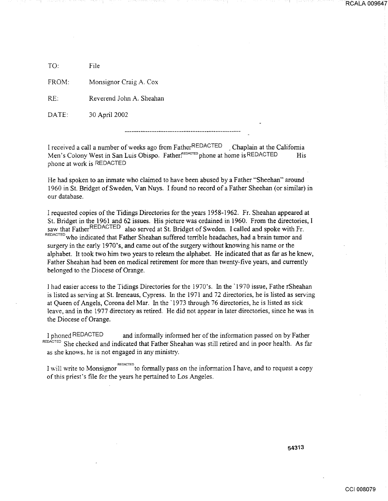TO: File

FROM: Monsignor Craig A. Cox

RE: Reverend John A. Sheahan

DATE: 30 April 2002

I received a call a number of weeks ago from FatherREDACTED . Chaplain at the California Men's Colony West in San Luis Obispo. Father FEDACTED phone at home is REDACTED His phone at work is REDACTED

He had spoken to an inmate who claimed to have been abused by a Father "Sheehan" around 1960 in St. Bridget of Sweden, Van Nuys. I found no record of a Father Sheehan (or similar) in our database.

I requested copies of the Tidings Directories for the years 1958-1962. Fr. Sheahan appeared at St. Bridget in the 1961 and 62 issues. His picture was ordained in 1960. From the directories, I saw that FatherREDACTED also served at St. Bridget of Sweden. I called and spoke with Fr. REDACTED who indicated that Father Sheahan suffered terrible headaches, had a brain tumor and surgery in the early 1970's, and came out of the surgery without knowing his name or the alphabet. It took two him two years to relearn the alphabet. He indicated that as far as he knew, Father Sheahan had been on medical retirement for more than twenty-five years, and currently belonged to the Diocese of Orange.

I had easier access to the Tidings Directories for the 1970's. In the · 1970 issue, Fathe rSheahan is listed as serving at St. Ireneaus, Cypress. In the 1971 and 72 directories, he is listed as serving at Queen of Angels, Corona del Mar. In the · 1973 through 76 directories, he is listed as sick leave, and in the 1977 directory as retired. He did not appear in later directories, since he was in the Diocese of Orange.

1 phoned REDACTED and informally informed her of the information passed on by Father REDACTED She checked and indicated that Father Sheahan was still retired and in poor health. As far as she knows, he is not engaged in any ministry.

I will write to Monsignor ID to formally pass on the information I have, and to request a copy of this priest's file for the years he pertained to Los Angeles.

54313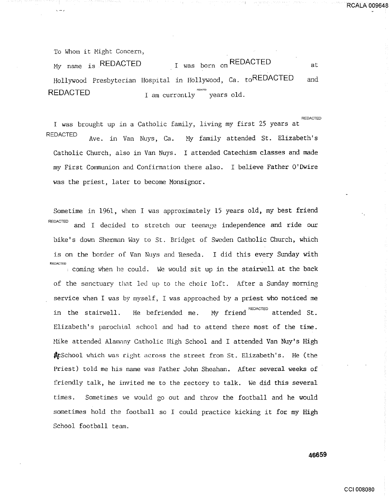To Whom it Might Concern,

 $\sqrt{-1}$ 

My name is REDACTED  $I$  was born on REDACTED at Hollywood Presbyterian Hospital in Hollywood, Ca. toREDACTED and  $REDACTER$  i am currently years old.

I was brought up in a Catholic family, living my first 25 years at REDACTED Ave. in Van Nuys, Ca. Hy family attended St. Elizabeth's Catholic Church, also in Van Nuys. I attended Catechism classes and made my First Communion and Confirmation there also. I believe Father O'Dwire was the priest, later to become Monsignor.

Sometime in 1961, when I was approximately 15 years old, my best friend REDACTED and I decided to stretch our teenage independence and ride our bike's down Sherman Way to St. Bridget of Sweden Catholic Church, which is on the border of Van Nuys and Reseda. I did this every Sunday with REDACTED : coming when he could. We would sit up in the stairwell at the back of the sanctuary that led up to the choir loft. After a Sunday morning service when I was by myself, I was approached by a priest who noticed me in the stairwell. He befriended me. My friend  $\overline{\phantom{a}^{\tt REDACTED}}$  attended St. Elizabeth's parochial school and had to attend there most of the time. Hike attended Alamnny Catholic High School and I attended Van Nuy's High **\$**CSchool which was right across the street from St. Elizabeth's. He (the Priest) told me his name was Father John Sheahan. After several weeks of friendly talk, he invited me to the rectory to talk. We did this several times. Sometimes we would go out and throw the football and he would sometimes hold the football so I could practice kicking it for my High School football team.

**46659** 

REDACTED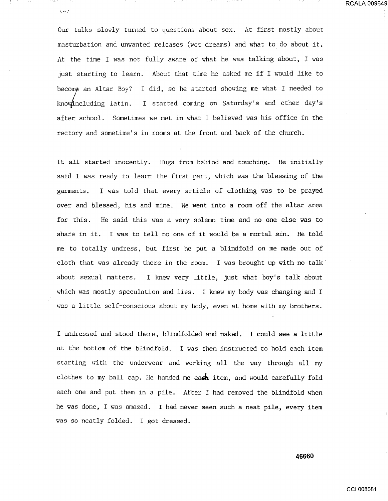$\sqrt{2}$ 

Our talks slowly turned to questions about sex. At first mostly about masturbation and unwanted releases (wet dreams) and what to do about it. At the time I was not fully aware of what he was talking about, I was just starting to learn. About that time he asked me if I would like to become an Altar Boy? I did, so he started showing me what I needed to knowincluding latin. I started coming on Saturday's and other day's after school. Sometimes we met in what I believed was his office in the rectory and sometime's in rooms at the front and back of the church.

It all started inocently. Hugs from behind and touching. He initially said I was ready to learn the first part, which was the blessing of the garments. I was told that every article of clothing was to be prayed over and blessed, his and mine. We went into a room off the altar area for this. He said this was a very solemn time and no one else was to share in it. I was to tell no one of it would be a mortal sin. He told me to totally undress, but first he put a blindfold on me made out of cloth that was already there in the room. I was brought up with no talk· about sexual matters. I knew very little, just what boy's talk about which was mostly speculation and lies. I knew my body was changing and <sup>I</sup> was a little self-conscious about my body, even at home with my brothers.

<sup>I</sup>undressed and stood there, blindfolded and naked. I could see a little at the bottom of the blindfold. I was then instructed to hold each item starting with the underwear and working all the way through all my clothes to my ball cap. He handed me each item, and would carefully fold each one and put them in a pile. After I had removed the blindfold when he was done, I was amazed. I had never seen such a neat pile, every item was so neatly folded. I got dressed.

**46660**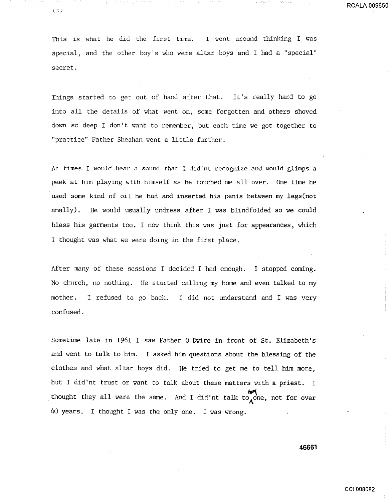This is what he did the first time. I went around thinking I was special, and the other boy's who were altar boys and I had a "special" secret.

Things started to get out of hand after that. It's really hard to go into all the details of what went on, some forgotten and others shoved down so deep I don't want to remember, but each time we got together to "practice" Father Sheahan went a little further.

At times I would hear a sound that I did'nt recognize and would glimps a peek at him playing with himself as he touched me all over. One time he used some kind of oil he had and inserted his penis between my legs(not anally). He would usually undress after I was blindfolded so we could bless his garments too. I now think this was just for appearances, which I thought was what we were doing in the first place.

After many of these sessions I decided I had enough. I stopped coming. No church, no nothing. He started calling my home and even talked to my mother. I refused to go back. I did not understand and I was very confused.

Sometime late in 1961 I saw Father O'Dwire in front of St. Elizabeth's and went to talk to him. I asked him questions about the blessing of the clothes and what altar boys did. He tried to get me to tell him more, but I did'nt trust or want to talk about these matters with a priest. I thought they all were the same. And I did'nt talk to one, not for over 40 years. I thought I was the only one. I was wrong.

**46661**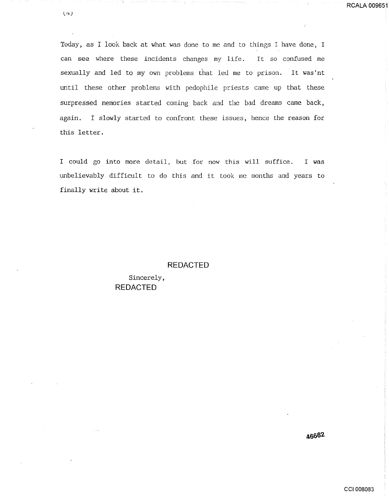Today, as I look back at what was done to me and to things I have done, I can see where these incidents changes my life. It so confused me sexually and led to my own problems that led me to prison. It was'nt until these other problems with pedophile priests came up that these surpressed memories started coming back and the bad dreams came back, again. I slowly started to confront these issues, hence the reason for this letter.

I could go into more detail, but for now this will suffice. I was unbelievably difficult to do this and it took me months and years to finally write about it.

#### **REDACTED**

Sincerely, **REDACTED** 

46662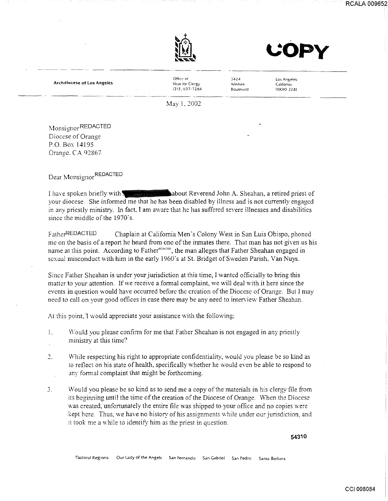





Archdlotese of Los Angeles

Office of Vicar for Clergy  $(213, 037 - 7284)$ ----------··----·-------- ----- --------· 3424 Wilshire Boulevard

Los Angeles California 90010·2Z41

May I, *2002* 

Monsignor REDACTED Diocese of Orange P.O. Box 14195 Orange. CA 92867

Dear Monsignor REDACTED

I have spoken briefly with **Reverend John A. Sheahan, a retired priest of** your diocese. She informed me that he has been disabled by illness and is not currently engaged in any priestly ministry. In fact, I am aware that he has suffered severe illnesses and disabilities since the middle of the 1970's.

FatherREDACTED Chaplain at California Men's Colony West in San Luis Obispo, phoned me on the basis of a report he heard from one of the inmates there. That man has not given us his name at this point. According to Father<sup>REDACTED</sup>, the man alleges that Father Sheahan engaged in sexual misconduct with him in the early 1960's at St. Bridget of Sweden Parish, Van Nuys.

Since Father Sheahan is under your jurisdiction at this time, I wanted officially to bring this matter to your attention. If we receive a formal complaint, we will deal with it here since the events in question would have occurred before the creation of the Diocese of Orange. But 1 may need to call on your good offices in case there may be any need to interview Father Sheahan.

At this point, I would appreciate your assistance with the following:

- $\mathbf{1}$ . \V ould you please confirm for me that Father Sheahan is not engaged in any priestly ministry at this time?
- $\overline{2}$ . While respecting his right to appropriate confidentiality, would you please be so kind as to reflect on his state of health, specifically whether he would even be able to respond to any formal complaint that might be forthcoming.
- ., *.).*  Would you please be so kind as to send me a copy of the materials in his clergy file from its beginning until the time of the creation of the Diocese of Orange. \Vhen the Diocese was created, unfortunately the entire file was shipped to your office and no copies were kept here. Thus, we have no history of his assignments while under our jurisdiction, and 1t took me a while to identifY him as the priest in question.

54310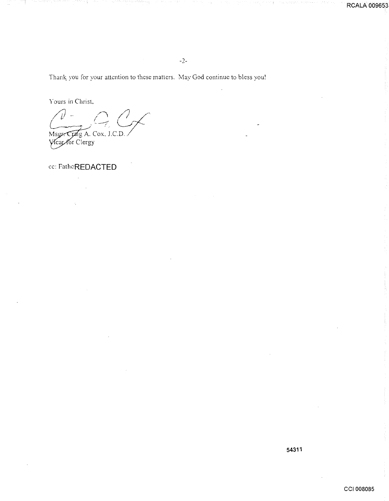Thank you for your attention to these matters. May God continue to bless you!

 $-2-$ 

Yours in Christ,

 $\mathscr{L}_{\ell}$  $\hat{\nu}$ Msgr. Craig A. Cox, J.C.D.

cc: FatheREDACTED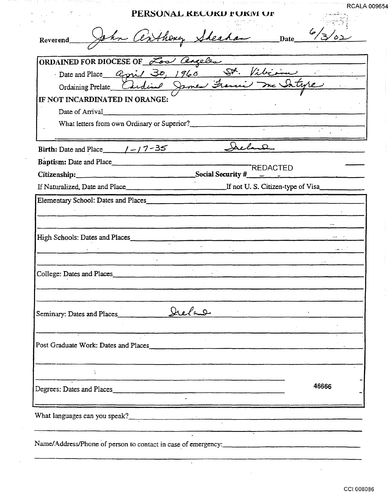|                                     | Reverend John Centhery Sheahan Date 6/3/02                     |
|-------------------------------------|----------------------------------------------------------------|
|                                     |                                                                |
| ORDAINED FOR DIOCESE OF Low angeles |                                                                |
|                                     |                                                                |
|                                     | Date and Place april 30, 1960 St. Vibioine                     |
| IF NOT INCARDINATED IN ORANGE:      |                                                                |
| Date of Arrival                     |                                                                |
|                                     |                                                                |
|                                     |                                                                |
| Birth: Date and Place $1 - 7 - 35$  |                                                                |
|                                     |                                                                |
|                                     | <b>TREDACTED</b><br>Citizenship: Social Security $\frac{4}{x}$ |
|                                     |                                                                |
|                                     |                                                                |
|                                     | Elementary School: Dates and Places                            |
|                                     |                                                                |
|                                     |                                                                |
|                                     |                                                                |
|                                     |                                                                |
| High Schools: Dates and Places      |                                                                |
|                                     |                                                                |
|                                     |                                                                |
| College: Dates and Places           |                                                                |
|                                     |                                                                |
|                                     |                                                                |
|                                     | Seminary: Dates and Places ________ Dreland                    |
|                                     |                                                                |
|                                     |                                                                |
|                                     | Post Graduate Work: Dates and Places                           |
|                                     |                                                                |
|                                     |                                                                |
|                                     | 46666<br>Degrees: Dates and Places                             |
|                                     |                                                                |
|                                     |                                                                |
|                                     |                                                                |

 $\overline{\phantom{a}}$ 

 $\epsilon$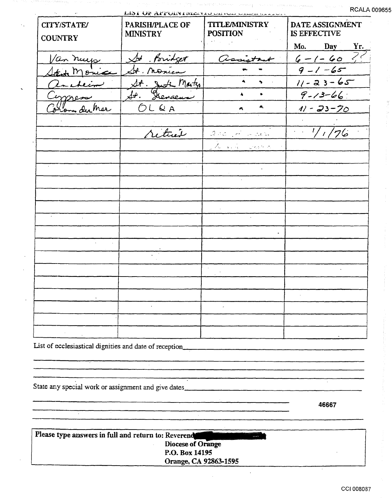$\left\langle \gamma^{\mu} \gamma^{\mu} \gamma^{\nu} \gamma^{\nu} \gamma^{\nu} \gamma^{\nu} \gamma^{\nu} \gamma^{\nu} \gamma^{\nu} \gamma^{\nu} \gamma^{\nu} \gamma^{\nu} \gamma^{\nu} \gamma^{\nu} \gamma^{\nu} \gamma^{\nu} \gamma^{\nu} \gamma^{\nu} \gamma^{\nu} \gamma^{\nu} \gamma^{\nu} \gamma^{\nu} \gamma^{\nu} \gamma^{\nu} \gamma^{\nu} \gamma^{\nu} \gamma^{\nu} \gamma^{\nu} \gamma^{\nu} \gamma^{\nu} \gamma^{\nu} \gamma^{\nu} \gamma^{\nu} \gamma^{\nu} \gamma^{\nu} \gamma^{\nu}$ 

| LIST OF APPOINTING IN OUTLET CALL CALL IN A LA          |                                    |                                          |                                 |  |  |  |
|---------------------------------------------------------|------------------------------------|------------------------------------------|---------------------------------|--|--|--|
| CITY/STATE/<br><b>COUNTRY</b>                           | PARISH/PLACE OF<br><b>MINISTRY</b> | <b>TITLE/MINISTRY</b><br><b>POSITION</b> | DATE ASSIGNMENT<br>IS EFFECTIVE |  |  |  |
|                                                         |                                    |                                          | Mo.                             |  |  |  |
|                                                         | St. Poridget                       |                                          | Mo. Day Yr.<br>$6 - 1 - 60$     |  |  |  |
| Van nuevo                                               | St. nonieur                        |                                          | $9 - 1 - 65$                    |  |  |  |
| ancheim                                                 |                                    | $\bullet$                                | $11 - 23 - 65$                  |  |  |  |
|                                                         | St. Justi Marty                    | $\blacktriangle$                         | $9 - 13 - 66$                   |  |  |  |
| Corpress                                                | OLRA                               | $\mathbf{A}_\mathbf{L}$<br>A             | $11 - 23 - 70$                  |  |  |  |
|                                                         |                                    |                                          |                                 |  |  |  |
|                                                         | returned                           | and Harden                               | $\frac{1}{1/76}$                |  |  |  |
|                                                         |                                    | the pain spectral                        |                                 |  |  |  |
|                                                         |                                    |                                          |                                 |  |  |  |
|                                                         |                                    |                                          |                                 |  |  |  |
|                                                         |                                    |                                          |                                 |  |  |  |
|                                                         |                                    |                                          |                                 |  |  |  |
|                                                         |                                    |                                          |                                 |  |  |  |
|                                                         |                                    |                                          |                                 |  |  |  |
|                                                         |                                    |                                          |                                 |  |  |  |
|                                                         |                                    |                                          |                                 |  |  |  |
|                                                         |                                    |                                          |                                 |  |  |  |
|                                                         |                                    |                                          |                                 |  |  |  |
|                                                         |                                    |                                          |                                 |  |  |  |
|                                                         |                                    |                                          |                                 |  |  |  |
|                                                         |                                    |                                          |                                 |  |  |  |
|                                                         |                                    |                                          |                                 |  |  |  |
|                                                         |                                    |                                          |                                 |  |  |  |
| List of ecclesiastical dignities and date of reception_ |                                    |                                          |                                 |  |  |  |
|                                                         |                                    |                                          |                                 |  |  |  |
|                                                         |                                    |                                          |                                 |  |  |  |
|                                                         |                                    |                                          |                                 |  |  |  |
| State any special work or assignment and give dates_    |                                    |                                          |                                 |  |  |  |

46667

Please type answers in full and return to: Reverend Diocese of Orange<br>Diocese of Orange<br>P.O. Box 14195 Orange, CA 92863-1595

 $\ddot{\phantom{a}}$